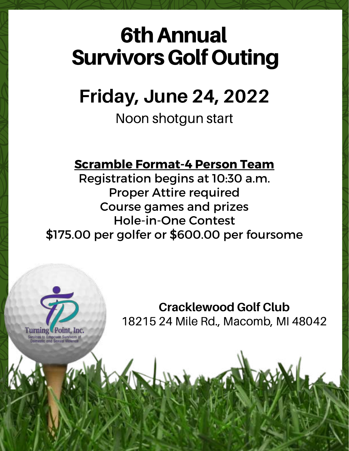# 6thAnnual **Survivors Golf Outing**

## **Friday, June 24, 2022**

Noon shotgun start

## **Scramble Format-4 Person Team**

Registration begins at 10:30 a.m. Proper Attire required Course games and prizes Hole-in-One Contest \$175.00 per golfer or \$600.00 per foursome

> **Cracklewood Golf Club** 18215 24 Mile Rd., Macomb, MI 48042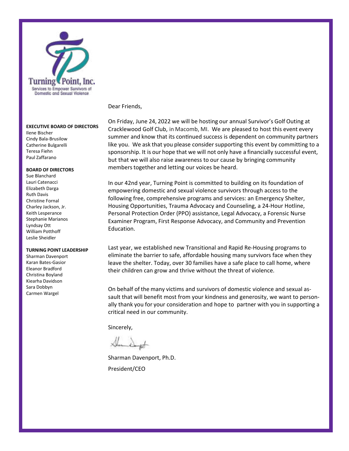

#### **EXECUTIVE BOARD OF DIRECTORS**

Ilene Bischer Cindy Bala-Brusilow Catherine Bulgarelli Teresa Fiehn Paul Zaffarano

#### **BOARD OF DIRECTORS**

Sue Blanchard Lauri Catenacci Elizabeth Darga Ruth Davis Christine Fornal Charley Jackson, Jr. Keith Lesperance Stephanie Marianos Lyndsay Ott William Potthoff Leslie Sheidler

#### **TURNING POINT LEADERSHIP**

Sharman Davenport Karan Bates-Gasior Eleanor Bradford Christina Boyland Kiearha Davidson Sara Dobbyn Carmen Wargel

Dear Friends,

On Friday, June 24, 2022 we will be hosting our annual Survivor's Golf Outing at Cracklewood Golf Club, in Macomb, MI. We are pleased to host this event every summer and know that its continued success is dependent on community partners like you. We ask that you please consider supporting this event by committing to a sponsorship. It is our hope that we will not only have a financially successful event, but that we will also raise awareness to our cause by bringing community members together and letting our voices be heard.

In our 42nd year, Turning Point is committed to building on its foundation of empowering domestic and sexual violence survivors through access to the following free, comprehensive programs and services: an Emergency Shelter, Housing Opportunities, Trauma Advocacy and Counseling, a 24-Hour Hotline, Personal Protection Order (PPO) assistance, Legal Advocacy, a Forensic Nurse Examiner Program, First Response Advocacy, and Community and Prevention Education.

Last year, we established new Transitional and Rapid Re-Housing programs to eliminate the barrier to safe, affordable housing many survivors face when they leave the shelter. Today, over 30 families have a safe place to call home, where their children can grow and thrive without the threat of violence.

On behalf of the many victims and survivors of domestic violence and sexual assault that will benefit most from your kindness and generosity, we want to personally thank you for your consideration and hope to partner with you in supporting a critical need in our community.

Sincerely,

Sharman Davenport, Ph.D. President/CEO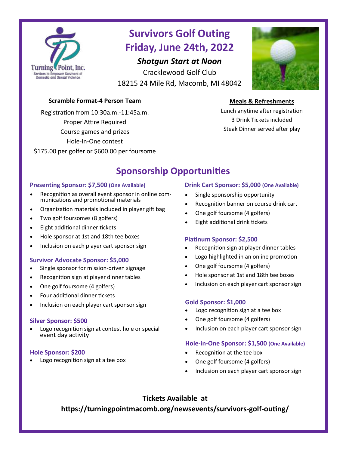

### **Survivors Golf Outing Friday, June 24th, 2022**

### *Shotgun Start at Noon*

Cracklewood Golf Club 18215 24 Mile Rd, Macomb, MI 48042



### **Scramble Format-4 Person Team**

Registration from 10:30a.m.-11:45a.m. Proper Attire Required Course games and prizes Hole-In-One contest \$175.00 per golfer or \$600.00 per foursome

### **Meals & Refreshments**

Lunch anytime after registration 3 Drink Tickets included Steak Dinner served after play

### **Sponsorship Opportunities**

### **Presenting Sponsor: \$7,500 (One Available)**

- Recognition as overall event sponsor in online communications and promotional materials
- Organization materials included in player gift bag
- Two golf foursomes (8 golfers)
- Eight additional dinner tickets
- Hole sponsor at 1st and 18th tee boxes
- Inclusion on each player cart sponsor sign

### **Survivor Advocate Sponsor: \$5,000**

- Single sponsor for mission-driven signage
- Recognition sign at player dinner tables
- One golf foursome (4 golfers)
- Four additional dinner tickets
- Inclusion on each player cart sponsor sign **Gold Sponsor: \$1,000**

### **Silver Sponsor: \$500**

Logo recognition sign at contest hole or special event day activity

### **Hole Sponsor: \$200**

Logo recognition sign at a tee box

### **Drink Cart Sponsor: \$5,000 (One Available)**

- Single sponsorship opportunity
- Recognition banner on course drink cart
- One golf foursome (4 golfers)
- Eight additional drink tickets

### **Platinum Sponsor: \$2,500**

- Recognition sign at player dinner tables
- Logo highlighted in an online promotion
- One golf foursome (4 golfers)
- Hole sponsor at 1st and 18th tee boxes
- Inclusion on each player cart sponsor sign

- Logo recognition sign at a tee box
- One golf foursome (4 golfers)
- Inclusion on each player cart sponsor sign

### **Hole-in-One Sponsor: \$1,500 (One Available)**

- Recognition at the tee box
- One golf foursome (4 golfers)
- Inclusion on each player cart sponsor sign

### **Tickets Available at**

**https://turningpointmacomb.org/newsevents/survivors-golf-outing/**